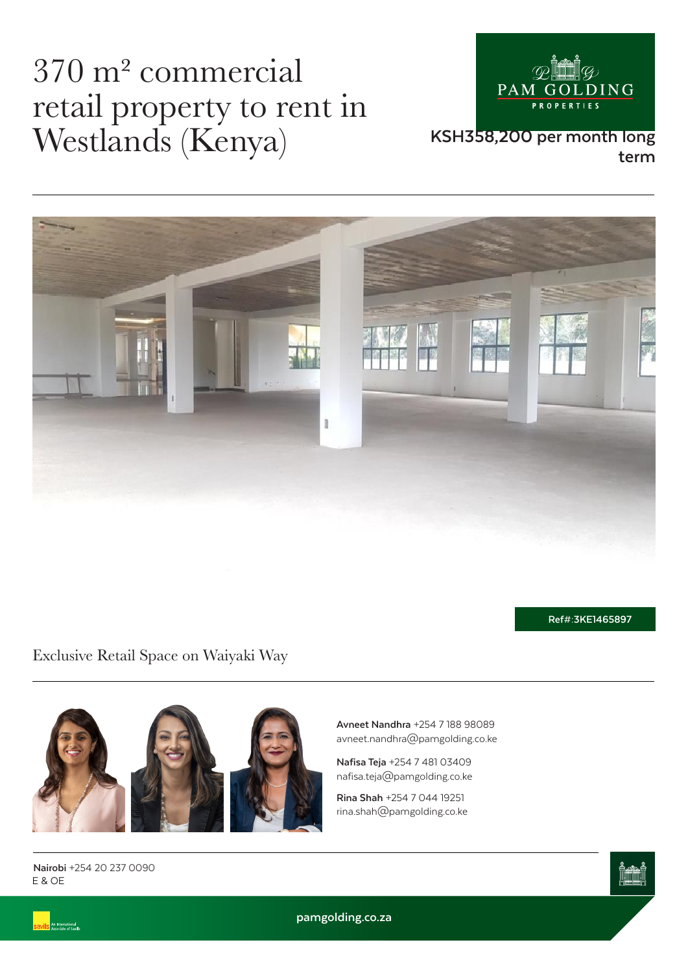## 370 m² commercial retail property to rent in Westlands (Kenya)



#### **KSH358,200 per month long term**



**Ref#:3KE1465897**

Exclusive Retail Space on Waiyaki Way



**Avneet Nandhra** +254 7 188 98089 avneet.nandhra@pamgolding.co.ke

**Nafisa Teja** +254 7 481 03409 nafisa.teja@pamgolding.co.ke

**Rina Shah** +254 7 044 19251 rina.shah@pamgolding.co.ke

E & OE **Nairobi** +254 20 237 0090

.<br>An International<br>Associate of Savill



**pamgolding.co.za**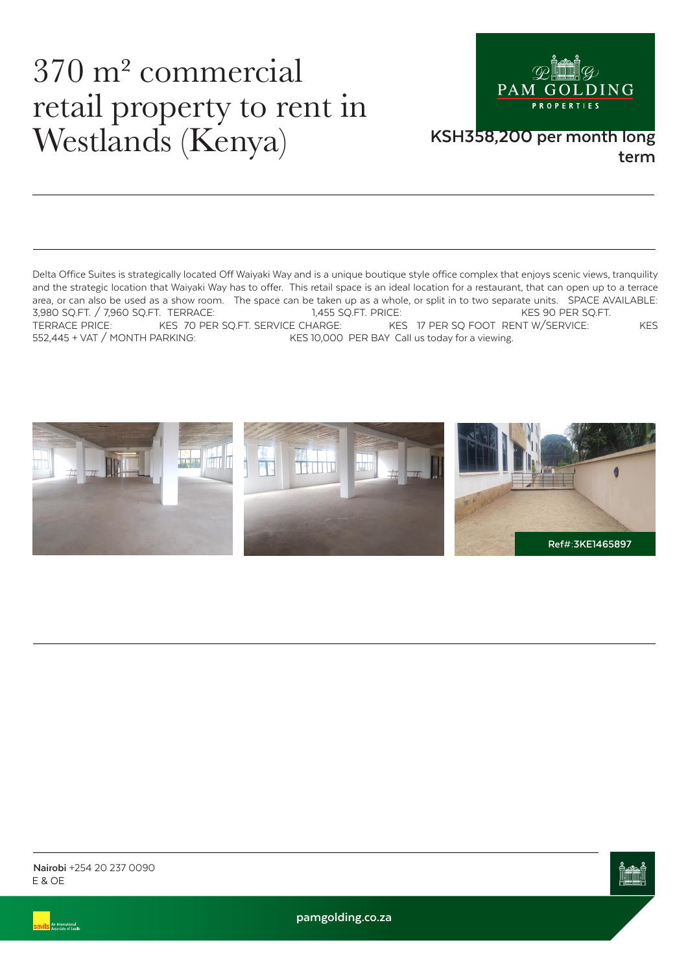## 370 m² commercial retail property to rent in Westlands (Kenya) KSH358,200 per month long



# **term**

Delta Office Suites is strategically located Off Waiyaki Way and is a unique boutique style office complex that enjoys scenic views, tranquility and the strategic location that Waiyaki Way has to offer. This retail space is an ideal location for a restaurant, that can open up to a terrace area, or can also be used as a show room. The space can be taken up as a whole, or split in to two separate units. SPACE AVAILABLE:<br>3.980 SO.FT. / 7.960 SO.FT. TERRACE: 1.455 SO.FT. PRICE: KES 90 PER SO.FT. 3,980 SQ.FT. / 7,960 SQ.FT. TERRACE: 1,455 SQ.FT. PRICE: KES 90 PER SQ.FT.<br>TERRACE PRICE: KES 70 PER SQ.FT. SERVICE CHARGE: KES 17 PER SQ FOOT RENT W/SERVICE: TERRACE PRICE: KES 70 PER SQ.FT. SERVICE CHARGE: KES 17 PER SQ FOOT RENT W/SERVICE: KES 152.445 + VAT / MONTH PARKING: KES 10.000 PER BAY Call us today for a viewing. KES 10,000 PER BAY Call us today for a viewing.







**pamgolding.co.za**